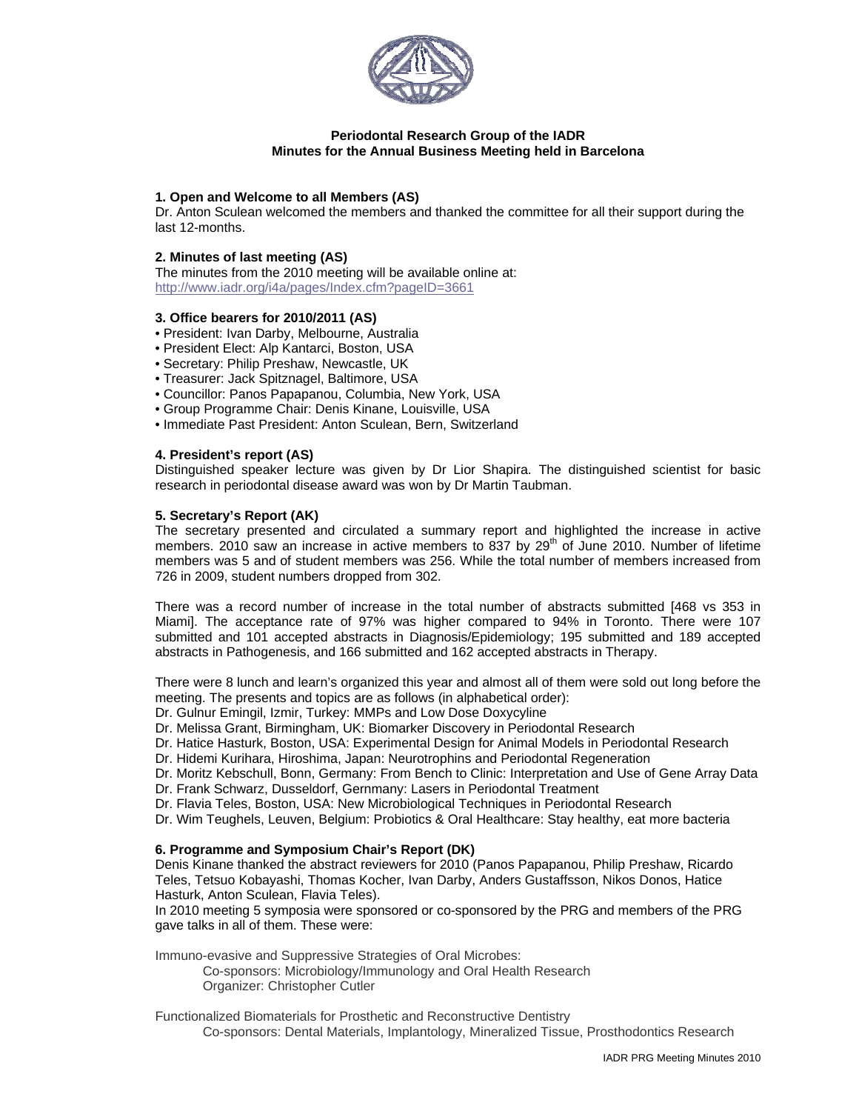

# **Periodontal Research Group of the IADR Minutes for the Annual Business Meeting held in Barcelona**

## **1. Open and Welcome to all Members (AS)**

Dr. Anton Sculean welcomed the members and thanked the committee for all their support during the last 12-months.

# **2. Minutes of last meeting (AS)**

The minutes from the 2010 meeting will be available online at: http://www.iadr.org/i4a/pages/Index.cfm?pageID=3661

### **3. Office bearers for 2010/2011 (AS)**

- President: Ivan Darby, Melbourne, Australia
- President Elect: Alp Kantarci, Boston, USA
- Secretary: Philip Preshaw, Newcastle, UK
- Treasurer: Jack Spitznagel, Baltimore, USA
- Councillor: Panos Papapanou, Columbia, New York, USA
- Group Programme Chair: Denis Kinane, Louisville, USA
- Immediate Past President: Anton Sculean, Bern, Switzerland

# **4. President's report (AS)**

Distinguished speaker lecture was given by Dr Lior Shapira. The distinguished scientist for basic research in periodontal disease award was won by Dr Martin Taubman.

### **5. Secretary's Report (AK)**

The secretary presented and circulated a summary report and highlighted the increase in active members. 2010 saw an increase in active members to 837 by  $29<sup>th</sup>$  of June 2010. Number of lifetime members was 5 and of student members was 256. While the total number of members increased from 726 in 2009, student numbers dropped from 302.

There was a record number of increase in the total number of abstracts submitted [468 vs 353 in Miami]. The acceptance rate of 97% was higher compared to 94% in Toronto. There were 107 submitted and 101 accepted abstracts in Diagnosis/Epidemiology; 195 submitted and 189 accepted abstracts in Pathogenesis, and 166 submitted and 162 accepted abstracts in Therapy.

There were 8 lunch and learn's organized this year and almost all of them were sold out long before the meeting. The presents and topics are as follows (in alphabetical order):

Dr. Gulnur Emingil, Izmir, Turkey: MMPs and Low Dose Doxycyline

Dr. Melissa Grant, Birmingham, UK: Biomarker Discovery in Periodontal Research

Dr. Hatice Hasturk, Boston, USA: Experimental Design for Animal Models in Periodontal Research

Dr. Hidemi Kurihara, Hiroshima, Japan: Neurotrophins and Periodontal Regeneration

Dr. Moritz Kebschull, Bonn, Germany: From Bench to Clinic: Interpretation and Use of Gene Array Data Dr. Frank Schwarz, Dusseldorf, Gernmany: Lasers in Periodontal Treatment

Dr. Flavia Teles, Boston, USA: New Microbiological Techniques in Periodontal Research

Dr. Wim Teughels, Leuven, Belgium: Probiotics & Oral Healthcare: Stay healthy, eat more bacteria

## **6. Programme and Symposium Chair's Report (DK)**

Denis Kinane thanked the abstract reviewers for 2010 (Panos Papapanou, Philip Preshaw, Ricardo Teles, Tetsuo Kobayashi, Thomas Kocher, Ivan Darby, Anders Gustaffsson, Nikos Donos, Hatice Hasturk, Anton Sculean, Flavia Teles).

In 2010 meeting 5 symposia were sponsored or co-sponsored by the PRG and members of the PRG gave talks in all of them. These were:

Immuno-evasive and Suppressive Strategies of Oral Microbes:

Co-sponsors: Microbiology/Immunology and Oral Health Research Organizer: Christopher Cutler

Functionalized Biomaterials for Prosthetic and Reconstructive Dentistry Co-sponsors: Dental Materials, Implantology, Mineralized Tissue, Prosthodontics Research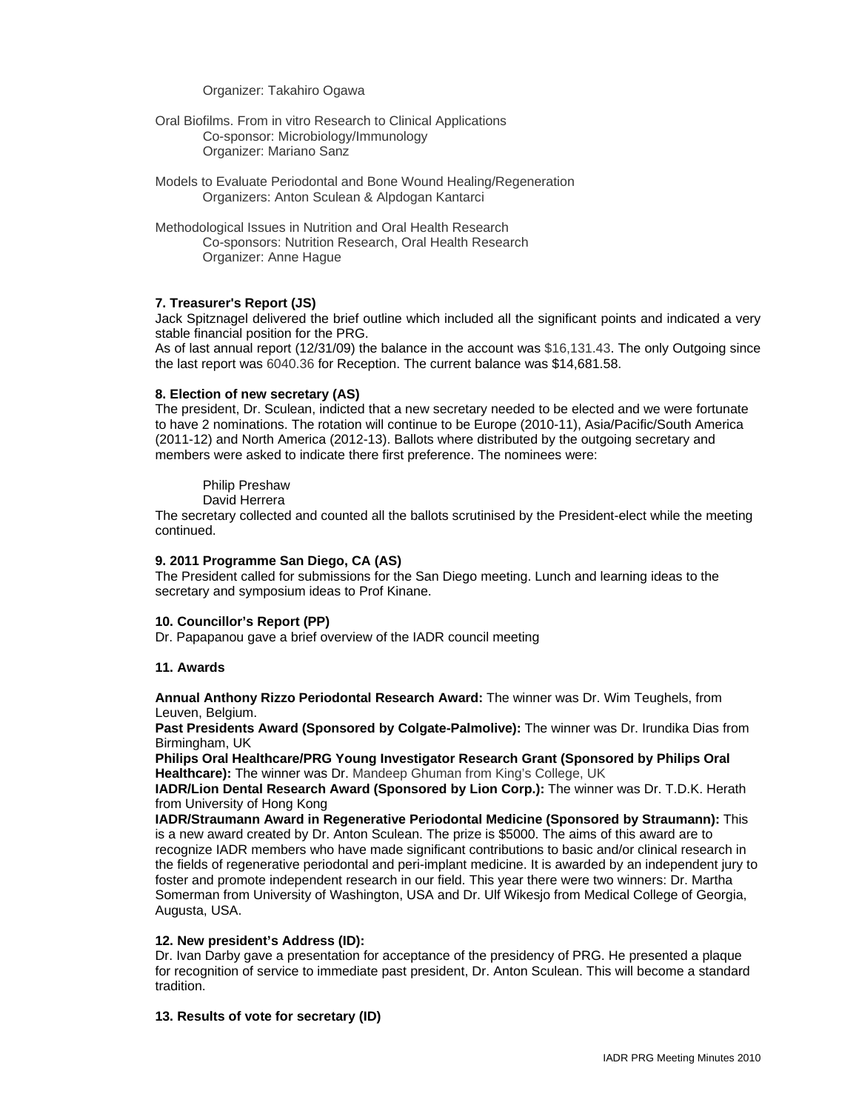Organizer: Takahiro Ogawa

- Oral Biofilms. From in vitro Research to Clinical Applications Co-sponsor: Microbiology/Immunology Organizer: Mariano Sanz
- Models to Evaluate Periodontal and Bone Wound Healing/Regeneration Organizers: Anton Sculean & Alpdogan Kantarci
- Methodological Issues in Nutrition and Oral Health Research Co-sponsors: Nutrition Research, Oral Health Research Organizer: Anne Hague

### **7. Treasurer's Report (JS)**

Jack Spitznagel delivered the brief outline which included all the significant points and indicated a very stable financial position for the PRG.

As of last annual report (12/31/09) the balance in the account was \$16,131.43. The only Outgoing since the last report was 6040.36 for Reception. The current balance was \$14,681.58.

#### **8. Election of new secretary (AS)**

The president, Dr. Sculean, indicted that a new secretary needed to be elected and we were fortunate to have 2 nominations. The rotation will continue to be Europe (2010-11), Asia/Pacific/South America (2011-12) and North America (2012-13). Ballots where distributed by the outgoing secretary and members were asked to indicate there first preference. The nominees were:

Philip Preshaw

David Herrera

The secretary collected and counted all the ballots scrutinised by the President-elect while the meeting continued.

#### **9. 2011 Programme San Diego, CA (AS)**

The President called for submissions for the San Diego meeting. Lunch and learning ideas to the secretary and symposium ideas to Prof Kinane.

### **10. Councillor's Report (PP)**

Dr. Papapanou gave a brief overview of the IADR council meeting

### **11. Awards**

**Annual Anthony Rizzo Periodontal Research Award:** The winner was Dr. Wim Teughels, from Leuven, Belgium.

**Past Presidents Award (Sponsored by Colgate-Palmolive):** The winner was Dr. Irundika Dias from Birmingham, UK

**Philips Oral Healthcare/PRG Young Investigator Research Grant (Sponsored by Philips Oral Healthcare):** The winner was Dr. Mandeep Ghuman from King's College, UK

**IADR/Lion Dental Research Award (Sponsored by Lion Corp.):** The winner was Dr. T.D.K. Herath from University of Hong Kong

**IADR/Straumann Award in Regenerative Periodontal Medicine (Sponsored by Straumann):** This is a new award created by Dr. Anton Sculean. The prize is \$5000. The aims of this award are to recognize IADR members who have made significant contributions to basic and/or clinical research in the fields of regenerative periodontal and peri-implant medicine. It is awarded by an independent jury to foster and promote independent research in our field. This year there were two winners: Dr. Martha Somerman from University of Washington, USA and Dr. Ulf Wikesjo from Medical College of Georgia, Augusta, USA.

### **12. New president's Address (ID):**

Dr. Ivan Darby gave a presentation for acceptance of the presidency of PRG. He presented a plaque for recognition of service to immediate past president, Dr. Anton Sculean. This will become a standard tradition.

### **13. Results of vote for secretary (ID)**